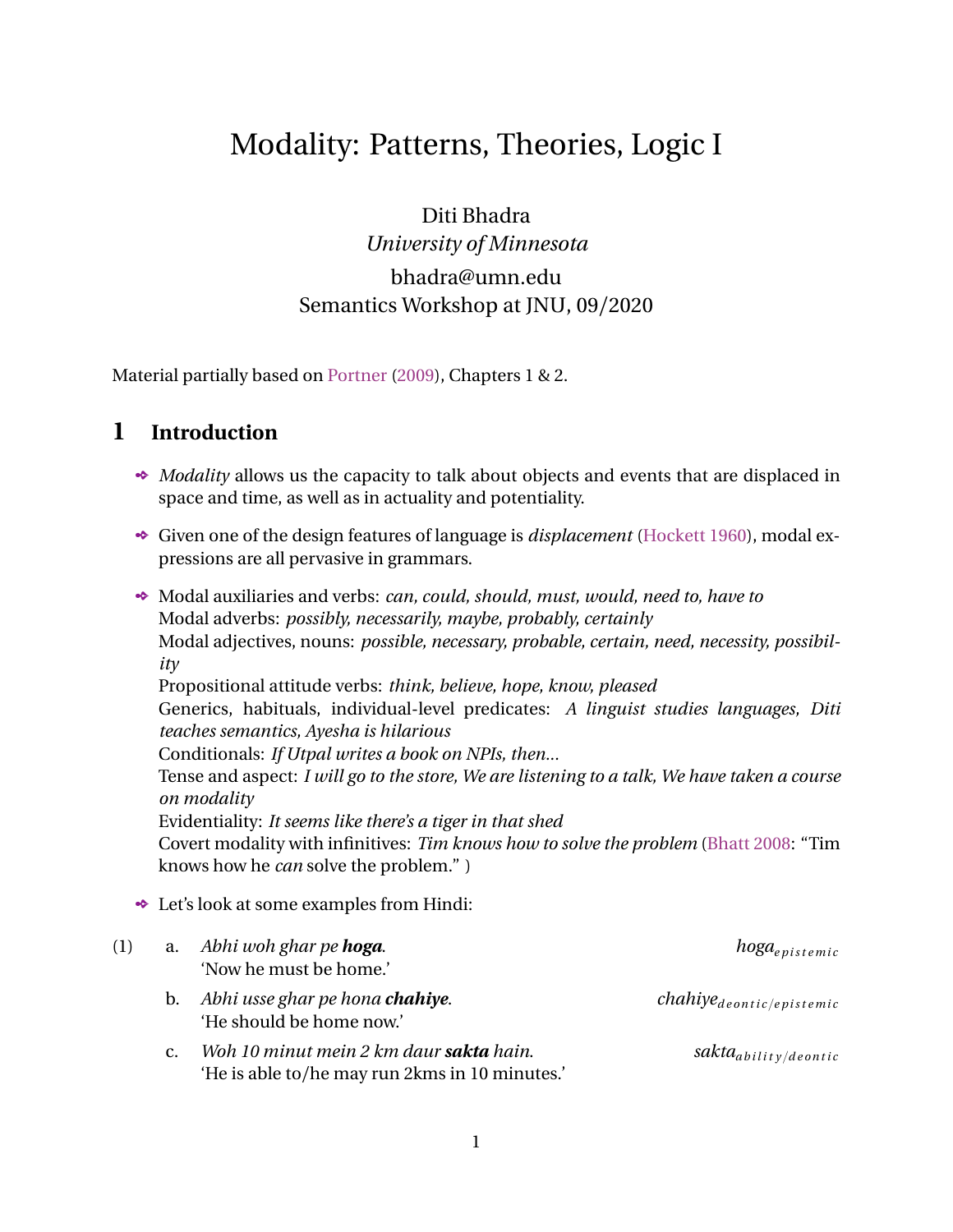# Modality: Patterns, Theories, Logic I

Diti Bhadra *University of Minnesota* bhadra@umn.edu Semantics Workshop at JNU, 09/2020

Material partially based on [Portner](#page-10-0) [\(2009](#page-10-0)), Chapters 1 & 2.

### **1 Introduction**

- *Modality* allows us the capacity to talk about objects and events that are displaced in space and time, as well as in actuality and potentiality.
- Given one of the design features of language is *displacement* [\(Hockett](#page-10-1) [1960\)](#page-10-1), modal expressions are all pervasive in grammars.
- Modal auxiliaries and verbs: *can, could, should, must, would, need to, have to* Modal adverbs: *possibly, necessarily, maybe, probably, certainly* Modal adjectives, nouns: *possible, necessary, probable, certain, need, necessity, possibility* Propositional attitude verbs: *think, believe, hope, know, pleased* Generics, habituals, individual-level predicates: *A linguist studies languages, Diti teaches semantics, Ayesha is hilarious* Conditionals: *If Utpal writes a book on NPIs, then...* Tense and aspect: *I will go to the store, We are listening to a talk, We have taken a course on modality* Evidentiality: *It seems like there's a tiger in that shed* Covert modality with infinitives: *Tim knows how to solve the problem* [\(Bhatt](#page-10-2) [2008](#page-10-2): "Tim knows how he *can* solve the problem." ) Let's look at some examples from Hindi: (1) a. *Abhi woh ghar pe* **hoga**. **hoga** *hoga*<sub>e pistemic</sub>

|    | 'Now he must be home.'                                              |                                  |
|----|---------------------------------------------------------------------|----------------------------------|
| b. | Abhi usse ghar pe hona <b>chahiye</b> .<br>'He should be home now.' | $chahiye_{dentic/epistemic}$     |
|    | Woh 10 minut mein 2 km daur sakta hain.                             | sakta <sub>ability/deontic</sub> |

1

'He is able to/he may run 2kms in 10 minutes.'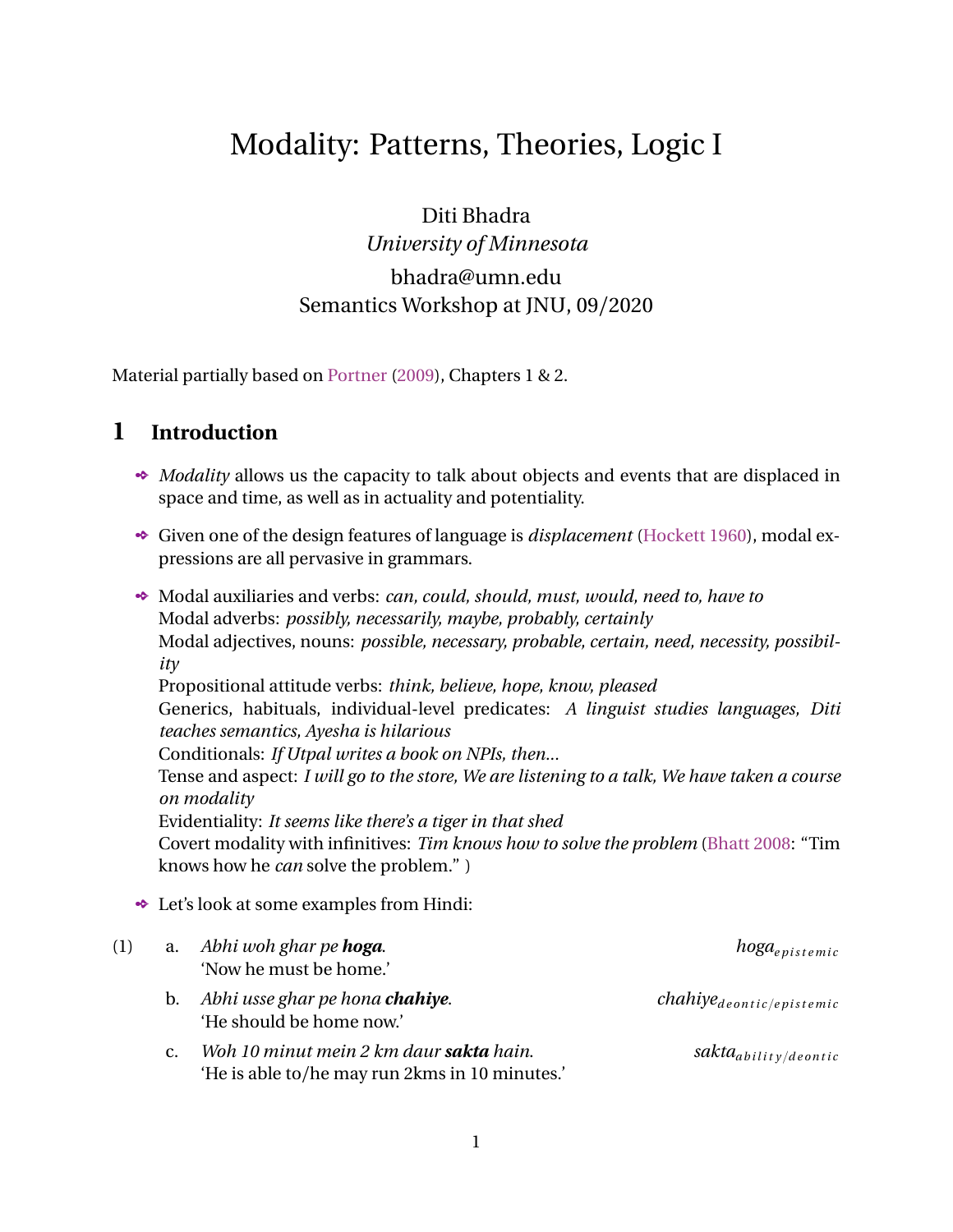d. *Mujhe 10 minut mein 2 km daurna hai*.

 $V$ -INF  $\mathit{hain}_{(covert)deonic/bouletic/teleological}$ 'I am required to/want to/have to run 2kms in 10 minutes.'

- e. *Tum kehte toh woh kar leta.*  $V$ <sup>-ta</sup><sub>e *pistemic/counterfactual*</sub> 'If you would have said, he would have done it.'
- f. *Tumhe yeh kaam karna padhega*. <sup>V</sup>-INF *padhegad e o n t i c* {*t e l e o l o g i c a l* 'You have to/need to do this work.'

(2) *Ram yeh kar sakta hain.*

- a. Ram can do it, i.e. he is physically able to.
- b. Ram can do it, i.e. now he is allowed to/I am giving him permission to.
- c. Ram may/might do it, i.e. I am not sure if he certainly will but there is a possibility given what I know about him.
- d. Ram may do it, i.e. the moral ethics we live by do not prevent him from doing this.
- e. Ram can do this to achieve a particular goal.
- What we are already noticing is massive amounts of ambiguity/underspecification in *modal flavor*.
	- $\Phi$  Then should we consider the existence of these patterns as a result of accidental polysemy?
	- [Kratzer](#page-10-3) ([1981](#page-10-3), [1991\)](#page-10-4): No! This is the result of **contextual dependency**.

 $\mathbb{F}$  Modals by themselves have a skeletal meaning denotation; together with essential components from the context, a modal gets the particular flavor that it has in that particular context.



Figure 1: Modal *force* vs. modal *flavor*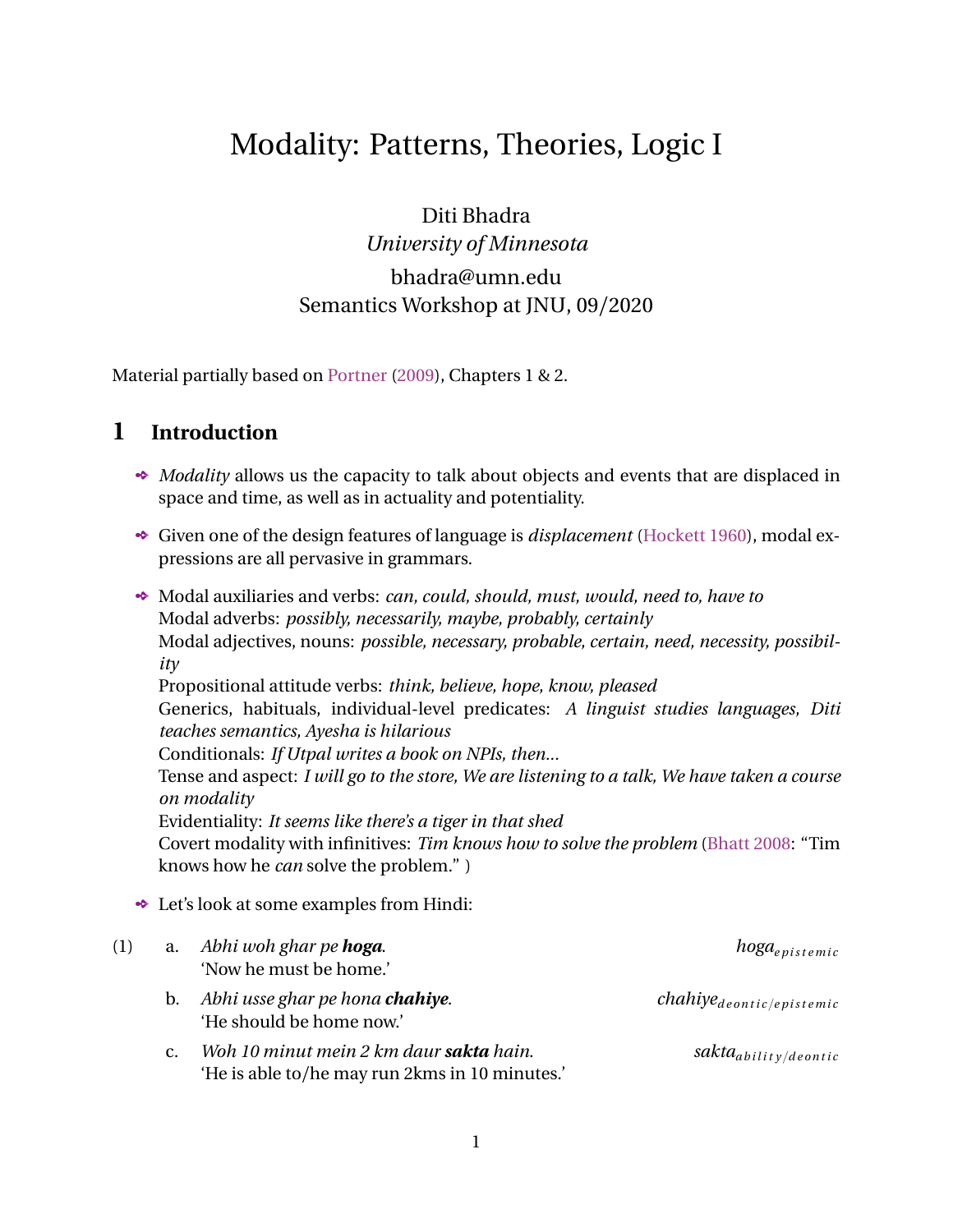- Any theory of modality in natural language has to explain how to account for these different flavors within the same framework, and correlate them with differences in modal force.
- We are going to look at two influential schools of thought bearing on this issue: modal logic (accessibility relations in particular), and natural language semantics (possible worlds in particular).
- $\rightarrow$  There are many many aspects and facets of modality we will not be able to cover in this workshop: their interaction with scopal operators like *negation, quantifiers, conditionals, questions*, etc, their direct interaction with tense and aspect, their interaction with disjunction (*free choice*), clause-type related phenomena like *modal subordination*, relationship with *imperatives*, the very related phenomena of *evidentiality*, etc.

### **2 Accessibility Relations**

- *Logic* comprises studying systems of reasoning; *Modal Logic* focuses on reasoning involving the concepts of necessity, possibility, implication, obligation, etc. ([Portner](#page-10-0) [2009\)](#page-10-0).
- $\bullet$  Modal logic is not the same thing as the linguistics of modal expressions!
	- $\otimes$  Modal logic aims to capture patterns of reasoning irrespective of natural language words like *must, possible, sakna, hona, zaroori, dorkar, uchit, uchitam*, etc.
	- $\odot$  Once you start studying the formal properties of operators like  $\Box$  and  $\Diamond$ , it can take you far far beyond the semantics of human language.
- $\bullet$  In a modal logic language (MLL; [Portner](#page-10-0) [2009\)](#page-10-0), we first begin with some essential tools:
	- (3) Included in such a MLL are:
		- a. Infinite number of propositional variables: *p*,*q*, *r*,*s*,*t* ...
		- b. Negation: if  $\alpha$  is a sentence in MLL, then so is  $\alpha$ .
		- c. Conjunction, disjunction, conditionals: if *α* and *β* are sentences of MLL, then so are  $\alpha \wedge \beta$ ,  $\alpha \wedge \beta$ ,  $\alpha \tilde{N} \beta$ .
		- d. Necessity and Possibility: if  $\alpha$  is a sentence of MLL, then so are  $\Box \alpha$  and  $\Diamond \alpha$ .
- Note that some of these are *derivable* from other, more basic operators:

(4) a. 
$$
\alpha \wedge \beta = p \alpha_{\alpha} \beta
$$
  
b.  $\alpha \tilde{N} \beta = (\alpha_{\alpha} \beta q)$ 

- c.  $\Box \beta = \Diamond \beta$
- Next, we come to two concepts that will get the "modal" part of things rolling [\(Hughes](#page-10-5) [and Cresswell](#page-10-5) [1996](#page-10-5)):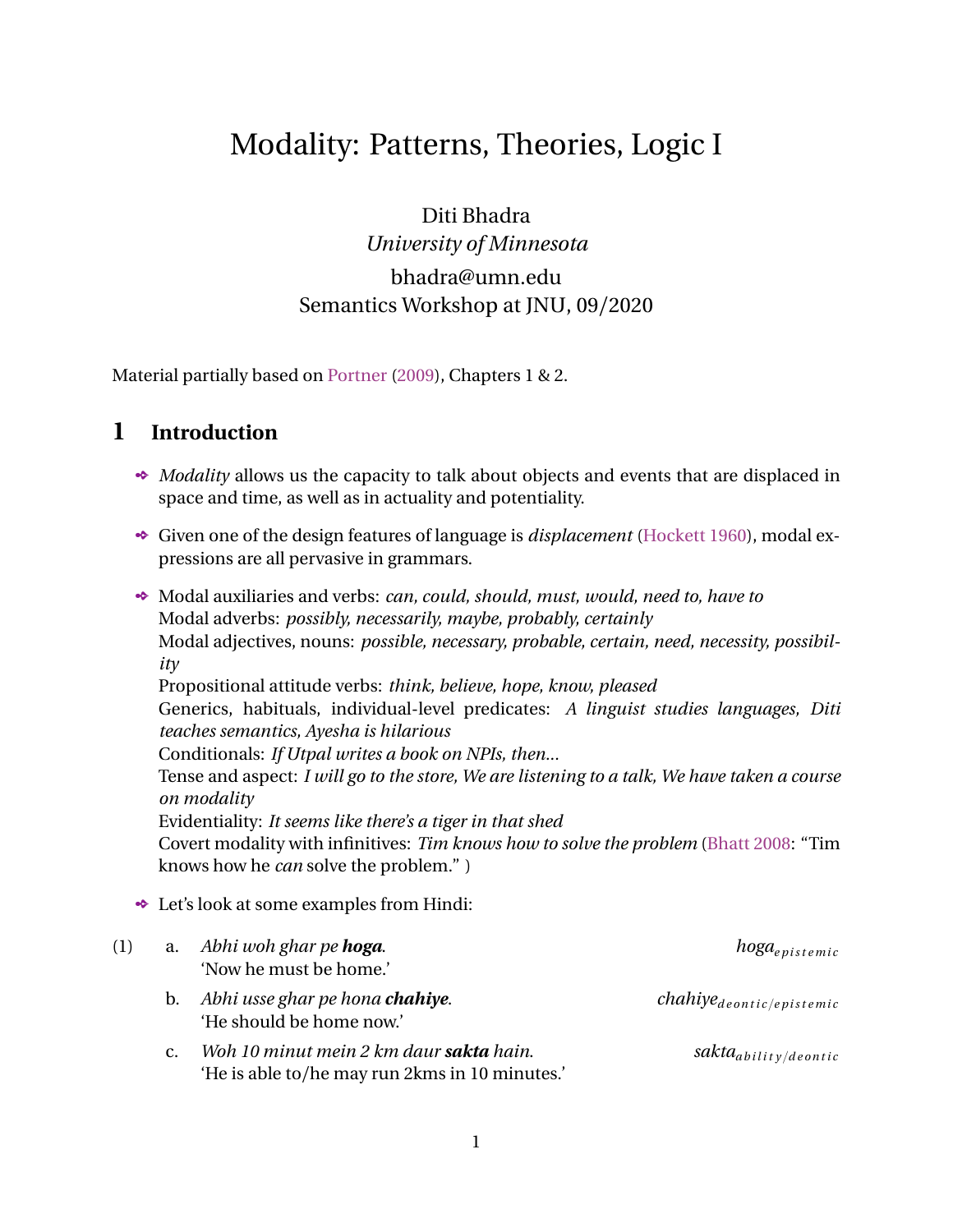- (5) FRAMES A frame *F* is a pair *W*,*R* ą where *W* is (usually) a set of possible worlds, and *R* is a relation on *W*.
- <span id="page-3-0"></span> This relation *R* is ultra important because it provides the mechanism for the worlds to "talk" to each other. For example:
	- (6) a. **Reflexive frame:**  $W, R$ ; is a reflexive frame iff for every  $w \in W$ ,  $R(w, w)$ .
		- b. **Symmetrical frame:**  $W, R$  is a symmetrical frame iff for every  $w$  and  $u$  **P** *W*, if R(*w, u*), then R(*u, w*).
		- c. **Serial frame:**  $W, R$  i is a serial frame iff for every  $w \cdot P$  *W*, there is a  $u \cdot P$  *W* such that R(*w, u*).
		- d. **Transitive frame:**  $W, R$  is a transitive frame iff for every  $w, u, v$  P  $W$ , if R(*w, u*), and R(*u, v*), then R(*w, v*).
		- e. **Equivalence frame:**  $W, R$  is an equivalence frame iff it is a reflexive, symmetrical, and transitive frame.
- $\rightarrow$  Think of these frames as ways a world can talk to/access its friends that are far away from it.
	- Different types of *R* thus gives us different types of *accessibility relations* (cf. Kripke semantics – a system created by Saul Kripke and Andre Joyal in late 1950s).



Figure 2: Accessibility between worlds

- $\triangle$  Can we figure out the different relations/frames that exist between the worlds *w*, *u*, *v*?
- With the concept of a FRAME in place, we can define a MODEL:

#### (7) MODEL

A model *M* is a pair *F*,*V* ą, where *F* is a frame and *V* is a valuation function that takes a proposition in a *w* P W and returns a value of 1 or 0.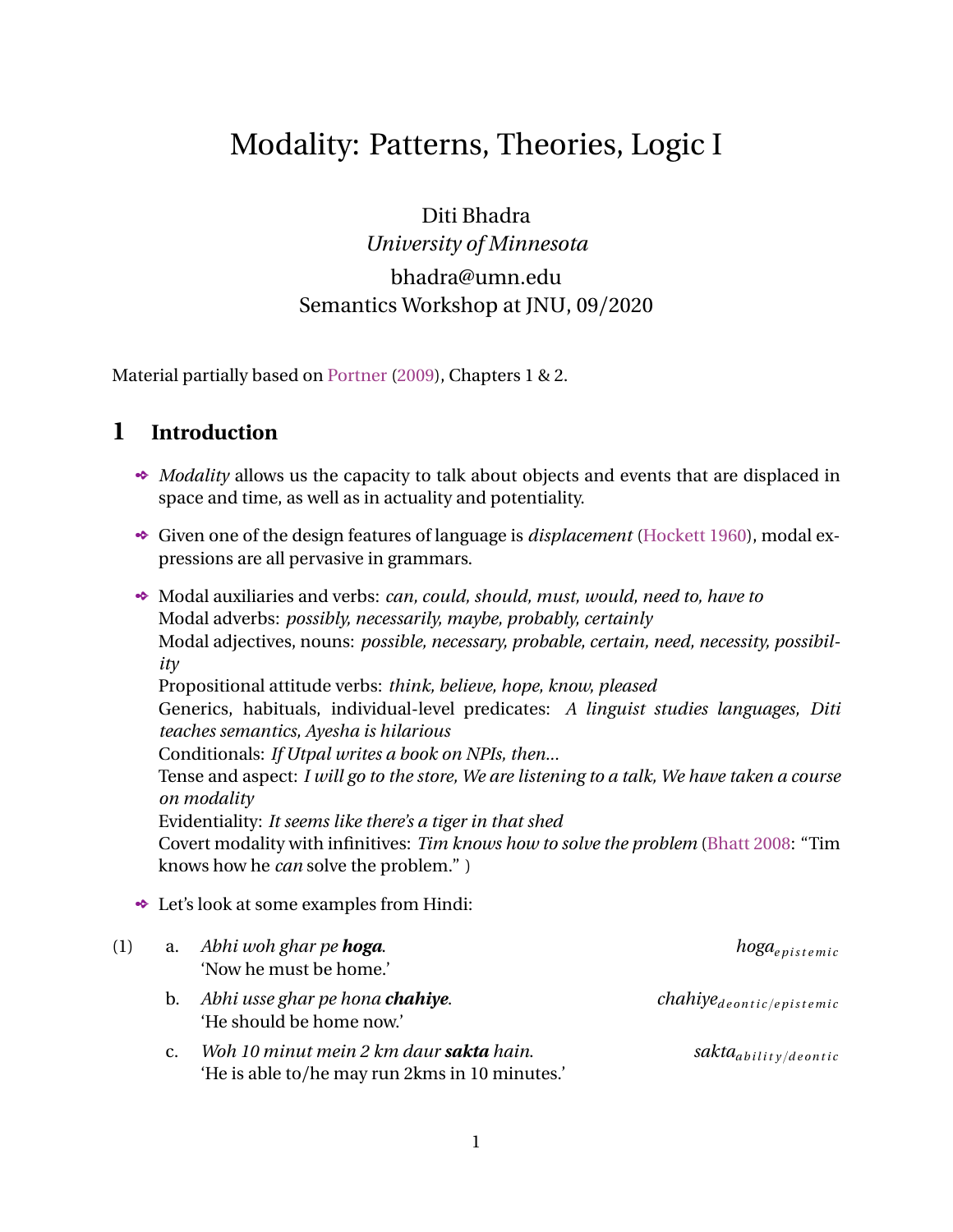- For example,  $V(w, p) = 1$ ,  $V(u, q) = 0$ , etc.
- We can do this for all atomic propositions as well all derived complex propositions containing operators like  $\land$ , \_,Ñ,  $\Box$ ,  $\Diamond$ .
- We also have the useful logical property of *validity* in modal logic:
	- (8) a. A sentence  $\alpha$  is VALID in a MODEL  $M =$ *W*, *R* i , *V* i iff  $vaw^{w,M} = 1$  for  $@*w* P W$ .
		- b. A sentence  $\alpha$  is VALID on a FRAME F iff, for every valuation function V,  $\alpha$  is valid in the model  $M = F, V$  ;
- $\rightarrow$  Thus, validity in a model is separate from validity on a frame (changing the valuation function changes the latter, for instance). $<sup>1</sup>$  $<sup>1</sup>$  $<sup>1</sup>$ </sup>
- <span id="page-4-1"></span> Take a reflexive frame, and if a sentence is valid on such a frame then it is T-VALID:
	- (9) A T-VALID sentence:  $\Box p \tilde{N} p$ Natural language counterparts:
		- a. If Ram must be at home now, then he is at home now. (where  $must_{epistemic}$ )
		- b. If Sita must eat 10 rasgullas to win, then she will eat 10 rasgullas. (where  $must_{deonic}$ )
- <span id="page-4-2"></span> $\bullet$  Only [\(9-a\)](#page-4-1) is T-VALID because the sentence is true, while [\(9-b\)](#page-4-2) is not T-VALID because the sentence is not true.
	- $\Rightarrow$  This tells us that T-validity can be useful for epistemic logic, but not for deontic logic.
- <span id="page-4-4"></span> Take a serial frame, and if a sentence is valid on such a frame then it is D-VALID:
	- (10) A T-VALID and D-VALID sentence:  $\Box p \tilde{N} \Diamond p$ Natural language counterparts:
		- a. If Ram must be at home now, then he might be at home now.  $(where must_{epistemic}, might_{epistemic})$
		- b. If Sita must eat 10 rasgullas to win, then she may eat 10 rasgullas.  $(where \ must_{dentic-oblication}, \ may_{denotic-premission})$
- <span id="page-4-3"></span> $\bullet\bullet\text{ With the flavors and subflavors as indicated, the sentence with deonic modals in (10-b)}$  $\bullet\bullet\text{ With the flavors and subflavors as indicated, the sentence with deonic modals in (10-b)}$  $\bullet\bullet\text{ With the flavors and subflavors as indicated, the sentence with deonic modals in (10-b)}$ being D-VALID suggests that D-validity can be a property of deontic logic.

<span id="page-4-0"></span><sup>&</sup>lt;sup>1</sup>There can be different kinds of validity based on the specific types of frame: K-VALID, T-VALID, B-VALID, D-VALID, S4-VALID, S5-VALID [\(Lewis](#page-10-6) [1918](#page-10-6), [Gödel](#page-10-7) [1933](#page-10-7), [Blackburn et al.](#page-10-8) [2002\)](#page-10-8).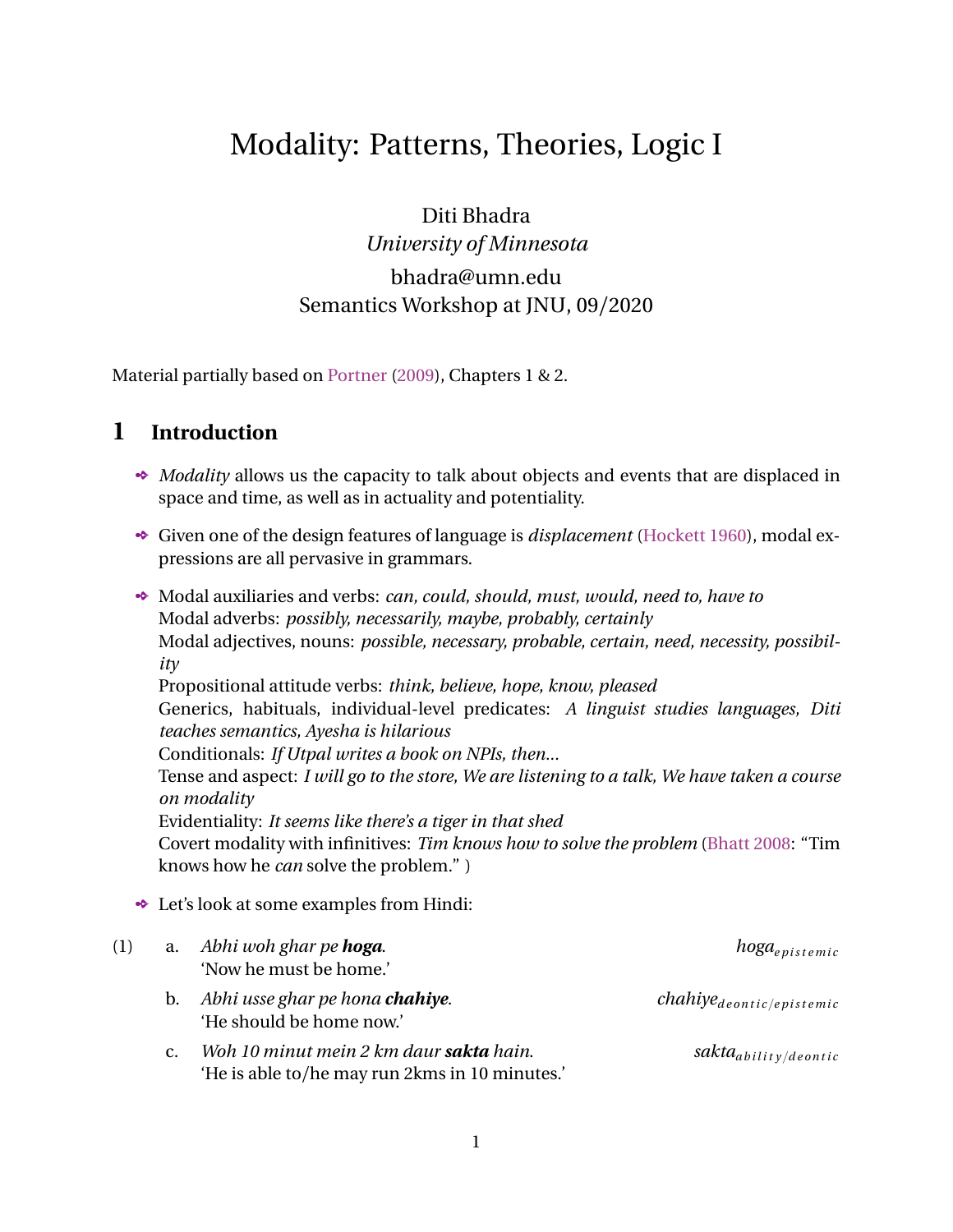- $\otimes$  Note that the sentence with the epistemic modals are thus both T-valid and D-valid (more on this on page 6 below).
- ◆ Our main stars for today,  $\Box$  and  $\Diamond$ , impose a **layer of quantification** on the accessibility relations between worlds:
	- (11)  $v \Box p w^{\nu,M} = 1$  iff for **every world** in *W* accessible to *w*, *p* holds (/is true) in all of those worlds.
		- Crucially note that we have not said *what type* of accessibility relation holds between the worlds – this could be any type!
		- $\otimes$  So what is the  $\Box$  giving us just the *quantity* of accessible worlds where the proposition in its scope holds. This is thus a natural way to think about **modal force**.
	- (12)  $v \Diamond p w^{\mu,M} = 1$  iff for **some world** in *W* accessible to *w*, *p* holds (/is true) in that world.
- Now it's time to wonder: where does **modal flavor** then come from in this framework of modal logic?

From the refined definitions of the accessibility relation  $R$  in terms of knowledge, rules, permissions, obligations, goals, desires, circumstances, abilities, etc.

 Thus, our frames and accessibility relations can now have special designations: (Note: I am using Portner's style of descriptions below (cf. [Portner](#page-10-0) [2009](#page-10-0)) but most styles are sons and daughters of the formalizations in Kripke semantics; cf. also [Hughes and Cresswell](#page-10-5) [1996,](#page-10-5) [Blackburn et al.](#page-10-8) [2002\)](#page-10-8).

### (13) **Epistemic frame**

- $F = W, R$  is an epistemic frame iff for some individual *i*:
- a.  $W =$  the set of possible worlds conceivable by humans.<sup>[2](#page-5-0)</sup>
- b.  $R =$  the relation which holds between two worlds *w* and *u* iff everthing which *i* knows in *w* is also true in *u*.
- This R inside this EPISTEMIC FRAME can be called an EPISTEMIC ACCESSIBILITY RELATION.
- $\bullet$  What about the different properties of frames we learnt in [\(6\)](#page-3-0)?  $E^{\text{max}}$  They can be applied to each of these relations.
- For example, *knowledge* is considered to have the property of reflexivity, because if an agent *knows* a proposition in *w*, then it is true/is a fact in *w*. – thus, we can say that the epistemic frame is reflexive.

<span id="page-5-0"></span><sup>&</sup>lt;sup>2</sup>Leibniz' work on modal metaphysics takes a possible world to a complete way that the universe could be throught its history; possible worlds accessible from our world could have minimal details changed (like maybe today is a Tuesday) or be completely different (maybe dinosaurs are still alive). Linguists ignore inconceivable worlds.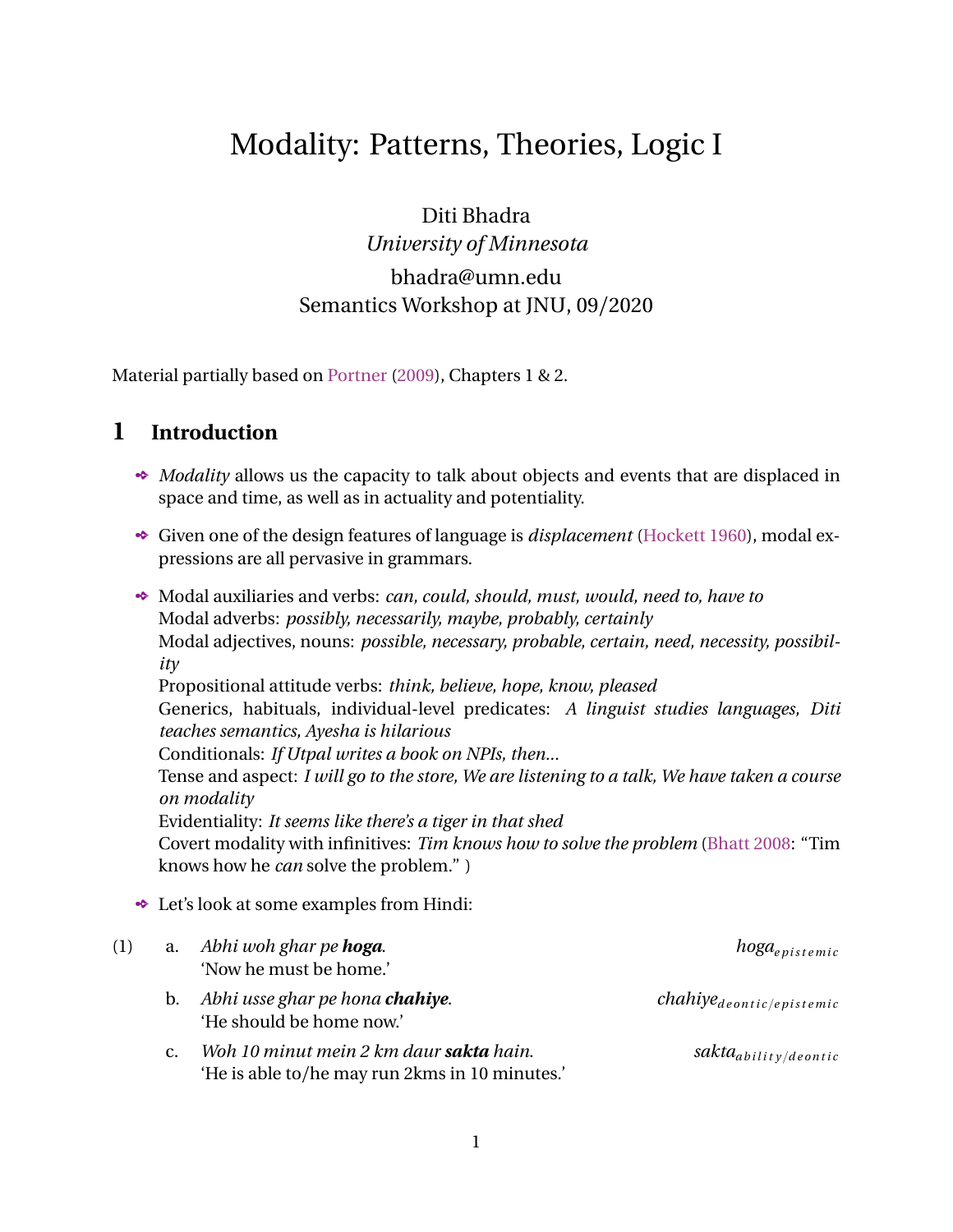Actually, if we assume an idealized account of knowledge where agents are perfect reasoners with infinite memory, then we can say that the epistemic frame actually contains an *equivalence* relation.

– (for example, recall that sentences with epistemic modals were both T-VALID and D-VALID to start with.  $cf. (10)$ 

– but we know that that knowledge derived from different types of evidence and inferences sometimes admit errors, etc. ([von Fintel and Gillies](#page-10-9), [2010;](#page-10-9) [Mihoc, Bhadra, and](#page-10-10) [Falaus](#page-10-10), [2019\)](#page-10-10)

- With similar tools, we can define a DEONTIC FRAME and a corresponding DEONTIC AC-CESSIBILITY RELATION inside it (assuming we are in the realm of rules for instance):
	- (14) **Deontic frame**
		- $F = W, R$  is an deontic frame iff for some system of rules *r*:
		- a.  $W =$  the set of possible worlds conceivable by humans.
		- b.  $R =$  the relation which holds between two worlds *w* and *u* iff all of the rules which are established by *r* (the relation that associates each world in *W* with a set of rules) in *w* are followed in *u*.
- Again, thinking about properties of this frame, deontic frames are *serial*:

– by invoking seriality we obliterate the possibility of having an inconsistent set of rules – because for every rule, there is a world in which the rule is followed (because the property of seriality requires that there be a corresponding world for every world accessible by the deontic accessibility relation).

- A disclaimer again: this is an idealized notion of a deontic relation, because we might find ourselves with contradictory requirements in reality.
- Now, with these tools in place, how do we apply them to our modal expressions?
	- (15) a. Necessity modals ( l ): *must, should, would, zaroori,* V-INF *chahiye*, V-INF *padhega*, *nischoi, dorkar, uchit, uchitam*, etc.
		- b. Possibility modals ( ◊ ): *may, might, can, could, sakna, shayad*, *hoyto, bodhoy*, etc.
- The central insight: for each modal flavor and *subtypes* of each flavor, there has to be a separate accessibility relation.
- **←** Formally:
	- (16)  $R_{epis}(w) = \frac{t w'}{w'}$  is a world in which all the known facts in *w* holdu
	- (17)  $R_{deonic} (w) = \frac{t w'}{w'}$  is a world in which all the rules in *w* are followedu
- Within deontic necessity, there is a distinction between **strong** and **weak** necessity (*must, necessary, have to*,etc. vs. *should, ought*).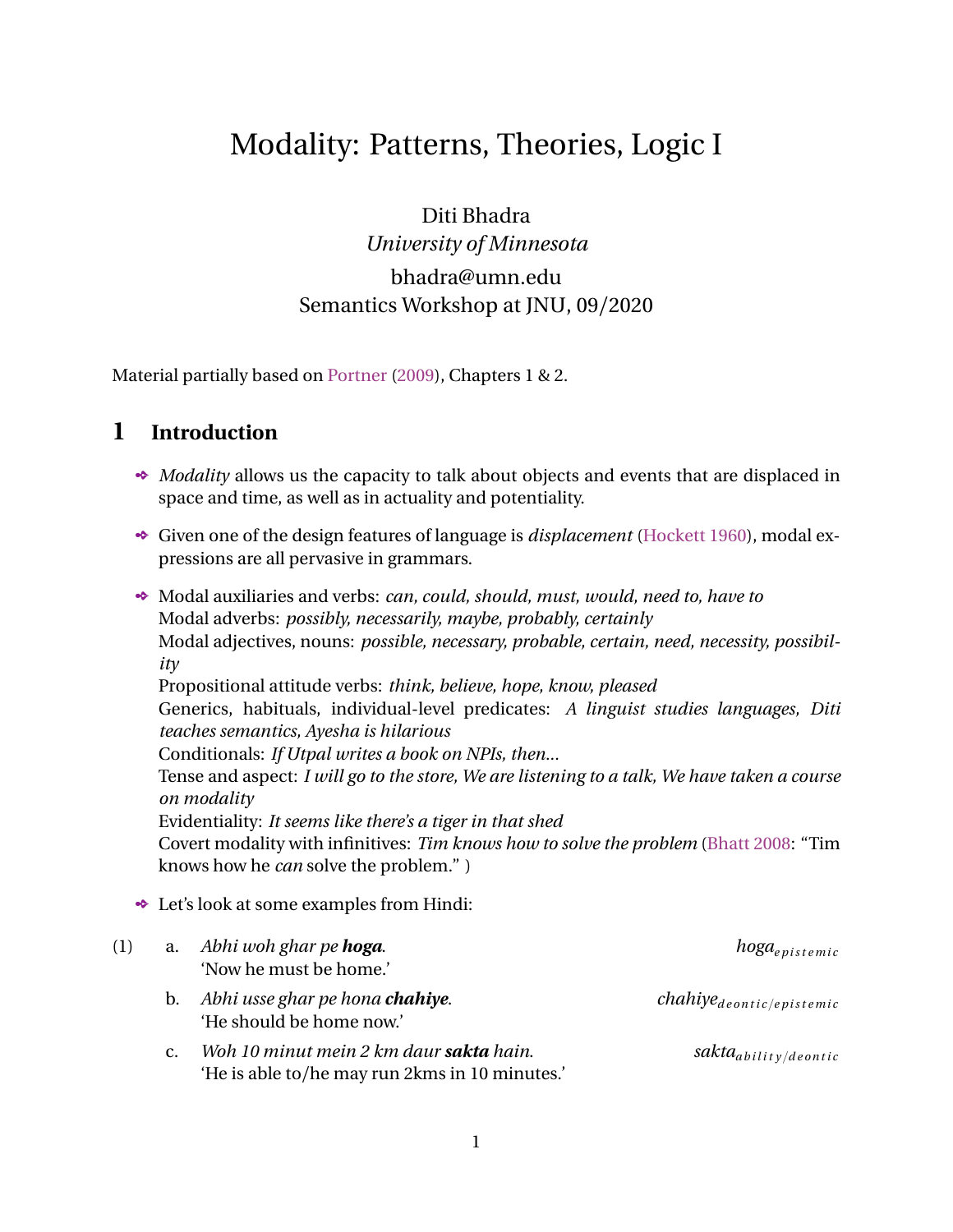- Test 1 for detecting strength: strong necessity modals can reinforce weak ones but not vice-versa ([von Fintel and Iatridou](#page-10-11) [2008\)](#page-10-11):
	- (18) a. You should wash your hands, in fact you must.
		- b. ??You must wash your hands, in fact you should.
- $\bullet$  Test 2 for detecting strength: Weak necessity modals are compatible with the negation of strong ones, but not vice versa ([von Fintel and Iatridou](#page-10-11) [2008\)](#page-10-11):
	- (19) a. You ought to/should do the dishes, but you don't need to/have to.
		- b. ??You need to/have to do the dishes, but it's not the case that you should/ought to.
- For an analysis of differential strength in deontic necessity in Bangla (with connections to Telugu and Hindi), see [Bhadra and Banerjee](#page-10-12) ([2020](#page-10-12)).
- Within modal logic, can we capture this relationship?: *must p* |ù *should p*
- $\bullet$  Let  $r_{must}$  be the set of rules on which the accessibility relation of *must* R<sub>must</sub>(*w*) is based on; and let  $r_{should}$  be the set of rules on which the accessibility relation of *should*  $-R_{should}(w)$  is based:

| (20) $R_{must}(w) = \frac{t w'}{ew's.t.Rpw,w'q, Vppqpw'q}$ lu | $r_{must}$ |
|---------------------------------------------------------------|------------|
|                                                               |            |

 $\epsilon$ 

(21) 
$$
R_{should} (w) = \mathbf{t} w' | \mathcal{Q} w's.t. Rpw, w'q, Vppqpw'q \quad \mathbf{lu}
$$

 $\bullet$  Both are deontic necessity modals ( $\Box$ ), thus crucially there is no difference in the denotations of the modals;

– the main action (/difference) is in the sets of rules behind the accessibility relations. (Keep this insight in mind – it will carry over to the other school of thought we will be exploring tomorrow).

 $\bullet$  Steps (let's name  $r_{must}$  as M and  $r_{should}$  as S):

<span id="page-7-0"></span> $(22)$  a. if M  $\sim$  S

- b. then  $R_{should}(w)$ ,  $R_{must}(w)$
- c. i.e. *S*, *M*
- d. i.e. the subset relation reverses once we take intersections
- Now look at [Portner](#page-10-0) [\(2009](#page-10-0))'s representations of the relationship: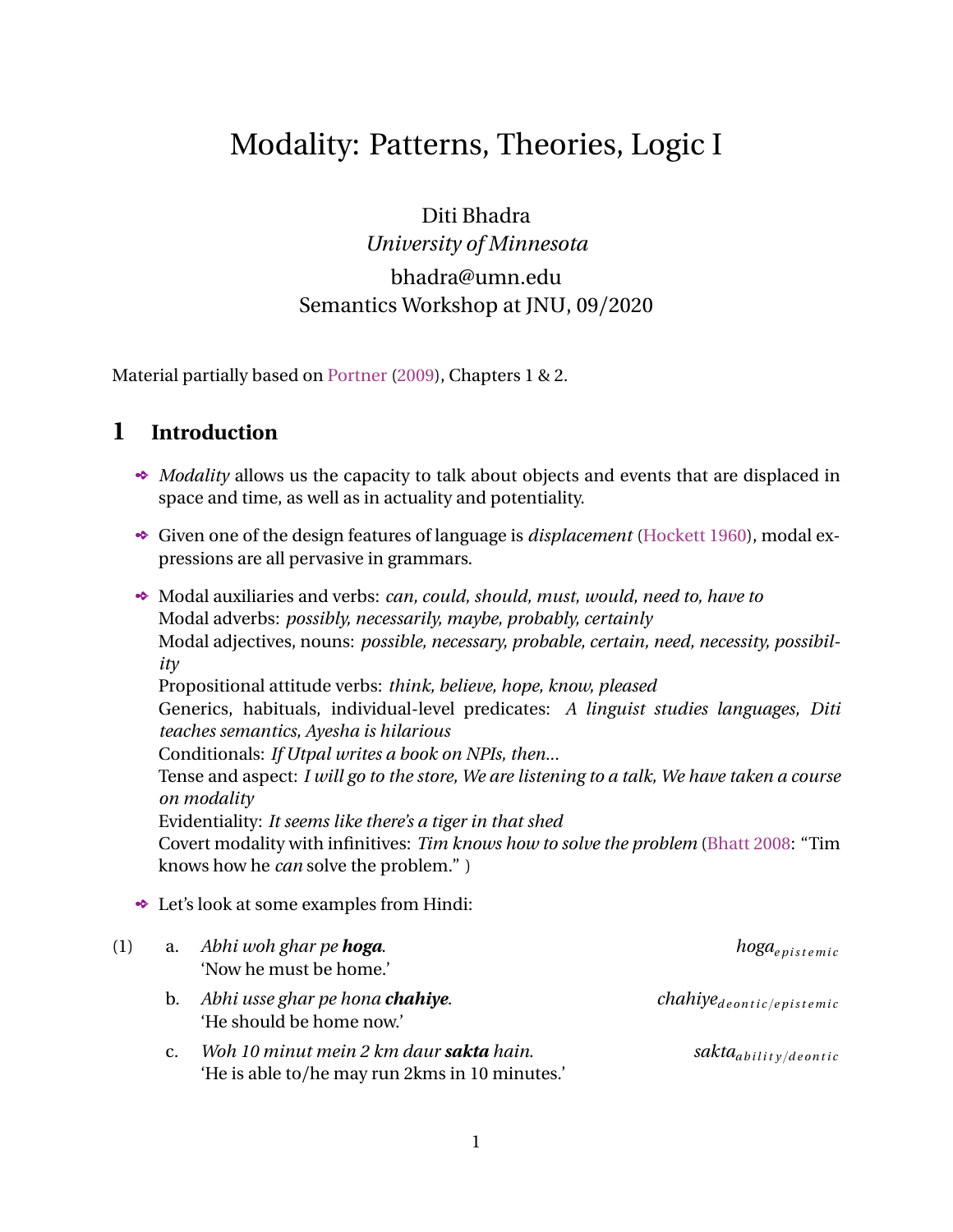

- $\bullet$  In the first figure: M contains less rules thus only the two solid ovals, while S contains more rules thus all three ovals.
- Thus, *M* is larger than the *S*, confirming the subset relationship in [\(22-c\).](#page-7-0)
- **Insight:** the more things you care about, the smaller the intersection of worlds will be where all of those things are true.
- Thus, we can confirm *must p* |ù *should p*.
	- provided that there are at least two different kinds of deontic accessibility relations
	- figure on the right
- But deontic modality can have many other subtypes, and thus even these two deontic accessibility relations are not enough!

 $-$  apart from the two kinds within  $R_{deonic-rule}$ , there has to be  $R_{deonic-permissions}$ ,  $R_{deonic-obligations}, R_{deonic-morals},$  etc.

(23) Just splitting apart deontic *must*:

- a. [In view of the laws of Minnesota], drivers must yield to pedestrians.
- b. [In view of the traditions of our family], you, as the youngest child, must touch the feet of all elders.
- c. [In view of the rules of student-teacher relationships], you must not yell at your teachers.
- $\bullet$  [Kratzer](#page-10-13) [\(1977](#page-10-13)) points out that the kind of restrictions in [ ]-s that determine differences in accessibility relations can be infinitely many.
- **► So what is starting to look like a problem here? For** Masssive over-generation!
- Additionally, not to forget that there are several other flavors outside of deontic modality!:
	- (24) a. Dogs **can** swim. (ability/dynamic)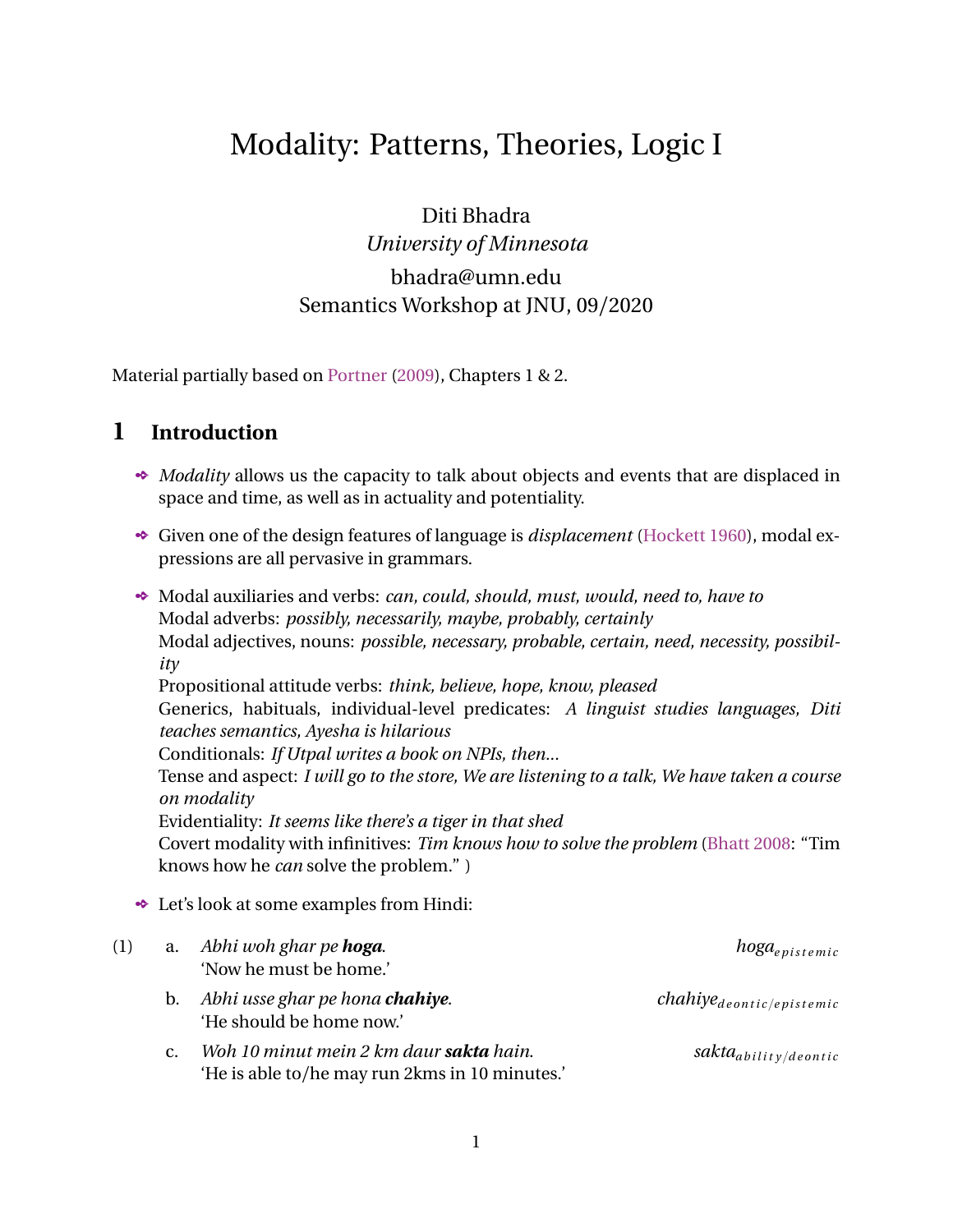- b. Given how much you love semantics, you **should** attend the modality workshop. (desire)
- c. To get into JNU, you **have to** study hard. (goal)
- d. A pandemic **may** eventually wipe out large sections of humanity. (history)
- (25) R<sub>bouletic</sub> (*w*) =  $\text{t}$ *w'* is a world in which all the desires of an agent *i* in *w* are satisfiedu
- The massive ambiguity/underspecification problem that we started out with is exacerbated by the possibility of the generation of multiple accessibility relations for the same modal:
	- (26) *Ram yeh kar sakta hain.* a.  $R(w, v)$ , where  $R_{dynamic}$  $,w_2, w_3, w_4, ...$ **u** b.  $R(w, v)$ , where  $R_{deonic-permissions}$ ,  $w_6$ ,  $w_7$ ,  $w_8$ , ...u c.  $R(w, v)$ , where  $R_{epistemic}$  $w_9, w_{10}, w_{11}, w_{12}, \ldots$ u d. R(*w*, *v*), where  $R_{deonic-morality}$  t  $w_{13}$ ,  $w_{14}$ ,  $w_{15}$ ,  $w_{16}$ ,...u e. R(*w*, *v*), where  $R_{teleological}$  t*w*<sub>17</sub>, *w*<sub>18</sub>, *w*<sub>19</sub>, *w*<sub>20</sub>,...u
- $\bullet$  And then within modal logic, what prevents 10 other accessibility relations from being generated for *sakna*? [3](#page-9-0)
- Thus, we understand the nature of the formal relations and properties better but have we made real progress towards providing an account of **modality in natural language**?
- $\cdot$   $\cdot$   $\cdot$  Unfortunately, no! Because our current logical system predicts many many more meanings for modals than they actually have.
- Enter: the field-changing work of Angelika Kratzer. (tomorrow's journey)

<span id="page-9-0"></span><sup>3</sup>We have not even discussed the *indexicality* of modals (relativization to contextual parameters like speakers, hearers, times, locations); imagine how much more over-generation there can be once these factors are wired into the semantics.